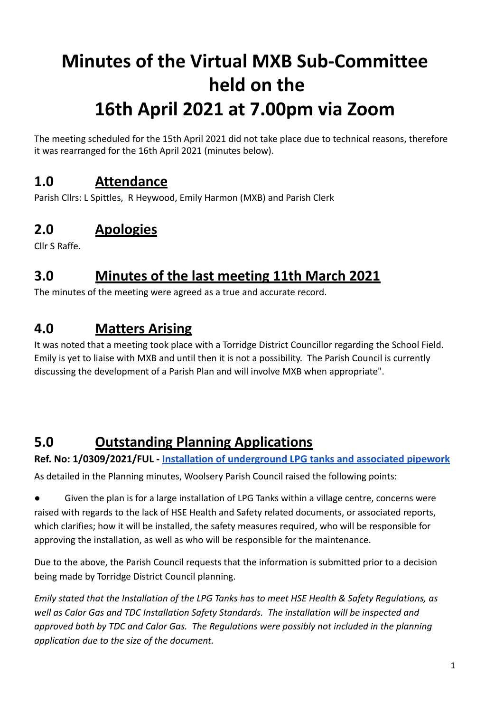# **Minutes of the Virtual MXB Sub-Committee held on the 16th April 2021 at 7.00pm via Zoom**

The meeting scheduled for the 15th April 2021 did not take place due to technical reasons, therefore it was rearranged for the 16th April 2021 (minutes below).

# **1.0 Attendance**

Parish Cllrs: L Spittles, R Heywood, Emily Harmon (MXB) and Parish Clerk

# **2.0 Apologies**

Cllr S Raffe.

# **3.0 Minutes of the last meeting 11th March 2021**

The minutes of the meeting were agreed as a true and accurate record.

# **4.0 Matters Arising**

It was noted that a meeting took place with a Torridge District Councillor regarding the School Field. Emily is yet to liaise with MXB and until then it is not a possibility. The Parish Council is currently discussing the development of a Parish Plan and will involve MXB when appropriate".

# **5.0 Outstanding Planning Applications**

**Ref. No: 1/0309/2021/FUL - Installation of [underground](https://publicaccess.torridge.gov.uk/online-applications/applicationDetails.do?activeTab=summary&keyVal=QQ2KPXQKM7200&prevPage=inTray) LPG tanks and associated pipework** As detailed in the Planning minutes, Woolsery Parish Council raised the following points:

Given the plan is for a large installation of LPG Tanks within a village centre, concerns were raised with regards to the lack of HSE Health and Safety related documents, or associated reports, which clarifies; how it will be installed, the safety measures required, who will be responsible for approving the installation, as well as who will be responsible for the maintenance.

Due to the above, the Parish Council requests that the information is submitted prior to a decision being made by Torridge District Council planning.

*Emily stated that the Installation of the LPG Tanks has to meet HSE Health & Safety Regulations, as well as Calor Gas and TDC Installation Safety Standards. The installation will be inspected and approved both by TDC and Calor Gas. The Regulations were possibly not included in the planning application due to the size of the document.*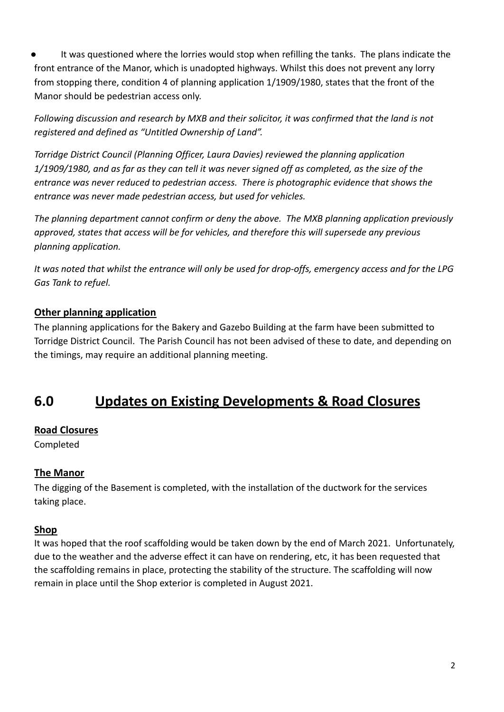It was questioned where the lorries would stop when refilling the tanks. The plans indicate the front entrance of the Manor, which is unadopted highways. Whilst this does not prevent any lorry from stopping there, condition 4 of planning application 1/1909/1980, states that the front of the Manor should be pedestrian access only.

*Following discussion and research by MXB and their solicitor, it was confirmed that the land is not registered and defined as "Untitled Ownership of Land".*

*Torridge District Council (Planning Officer, Laura Davies) reviewed the planning application 1/1909/1980, and as far as they can tell it was never signed off as completed, as the size of the entrance was never reduced to pedestrian access. There is photographic evidence that shows the entrance was never made pedestrian access, but used for vehicles.*

*The planning department cannot confirm or deny the above. The MXB planning application previously approved, states that access will be for vehicles, and therefore this will supersede any previous planning application.*

*It was noted that whilst the entrance will only be used for drop-offs, emergency access and for the LPG Gas Tank to refuel.*

#### **Other planning application**

The planning applications for the Bakery and Gazebo Building at the farm have been submitted to Torridge District Council. The Parish Council has not been advised of these to date, and depending on the timings, may require an additional planning meeting.

### **6.0 Updates on Existing Developments & Road Closures**

#### **Road Closures**

Completed

#### **The Manor**

The digging of the Basement is completed, with the installation of the ductwork for the services taking place.

#### **Shop**

It was hoped that the roof scaffolding would be taken down by the end of March 2021. Unfortunately, due to the weather and the adverse effect it can have on rendering, etc, it has been requested that the scaffolding remains in place, protecting the stability of the structure. The scaffolding will now remain in place until the Shop exterior is completed in August 2021.